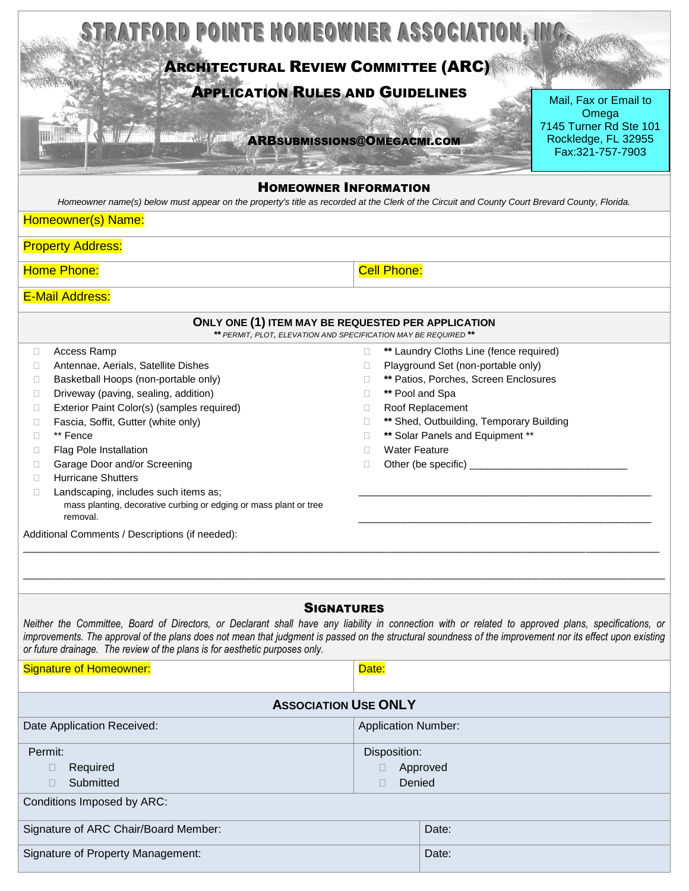| STRATFORD POINTE HOMEOWNER ASSOCIATION, IN<br><b>ARCHITECTURAL REVIEW COMMITTEE (ARC)</b><br><b>APPLICATION RULES AND GUIDELINES</b><br>Mail, Fax or Email to                                                                                                                                                                                                                                                                                                                                                                                                                                    |                                                                                                                                                                                                                                                                                                                                              |  |
|--------------------------------------------------------------------------------------------------------------------------------------------------------------------------------------------------------------------------------------------------------------------------------------------------------------------------------------------------------------------------------------------------------------------------------------------------------------------------------------------------------------------------------------------------------------------------------------------------|----------------------------------------------------------------------------------------------------------------------------------------------------------------------------------------------------------------------------------------------------------------------------------------------------------------------------------------------|--|
| <b>ARBSUBMISSIONS@OMEGACMI.COM</b>                                                                                                                                                                                                                                                                                                                                                                                                                                                                                                                                                               | Omega<br>7145 Turner Rd Ste 101<br>Rockledge, FL 32955<br>Fax:321-757-7903                                                                                                                                                                                                                                                                   |  |
| <b>HOMEOWNER INFORMATION</b><br>Homeowner name(s) below must appear on the property's title as recorded at the Clerk of the Circuit and County Court Brevard County, Florida.<br>Homeowner(s) Name:                                                                                                                                                                                                                                                                                                                                                                                              |                                                                                                                                                                                                                                                                                                                                              |  |
| <b>Property Address:</b>                                                                                                                                                                                                                                                                                                                                                                                                                                                                                                                                                                         |                                                                                                                                                                                                                                                                                                                                              |  |
| Home Phone:                                                                                                                                                                                                                                                                                                                                                                                                                                                                                                                                                                                      | <b>Cell Phone:</b>                                                                                                                                                                                                                                                                                                                           |  |
| <b>E-Mail Address:</b>                                                                                                                                                                                                                                                                                                                                                                                                                                                                                                                                                                           |                                                                                                                                                                                                                                                                                                                                              |  |
| ONLY ONE (1) ITEM MAY BE REQUESTED PER APPLICATION<br>** PERMIT, PLOT, ELEVATION AND SPECIFICATION MAY BE REQUIRED **                                                                                                                                                                                                                                                                                                                                                                                                                                                                            |                                                                                                                                                                                                                                                                                                                                              |  |
| Access Ramp<br>□<br>Antennae, Aerials, Satellite Dishes<br>$\Box$<br>Basketball Hoops (non-portable only)<br>$\Box$<br>Driveway (paving, sealing, addition)<br>$\Box$<br>Exterior Paint Color(s) (samples required)<br>$\Box$<br>Fascia, Soffit, Gutter (white only)<br>O<br>** Fence<br>П<br>Flag Pole Installation<br>$\Box$<br>Garage Door and/or Screening<br>$\Box$<br><b>Hurricane Shutters</b><br>П<br>Landscaping, includes such items as;<br>$\Box$<br>mass planting, decorative curbing or edging or mass plant or tree<br>removal.<br>Additional Comments / Descriptions (if needed): | ** Laundry Cloths Line (fence required)<br>П.<br>Playground Set (non-portable only)<br>П<br>** Patios, Porches, Screen Enclosures<br>П<br>** Pool and Spa<br>П<br>Roof Replacement<br>П<br>** Shed, Outbuilding, Temporary Building<br>П<br>** Solar Panels and Equipment **<br>П<br><b>Water Feature</b><br>П<br>Other (be specific) _<br>П |  |
| <b>SIGNATURES</b><br>Neither the Committee, Board of Directors, or Declarant shall have any liability in connection with or related to approved plans, specifications, or<br>improvements. The approval of the plans does not mean that judgment is passed on the structural soundness of the improvement nor its effect upon existing<br>or future drainage. The review of the plans is for aesthetic purposes only.                                                                                                                                                                            |                                                                                                                                                                                                                                                                                                                                              |  |
| <b>Signature of Homeowner:</b>                                                                                                                                                                                                                                                                                                                                                                                                                                                                                                                                                                   | Date:                                                                                                                                                                                                                                                                                                                                        |  |
| <b>ASSOCIATION USE ONLY</b>                                                                                                                                                                                                                                                                                                                                                                                                                                                                                                                                                                      |                                                                                                                                                                                                                                                                                                                                              |  |
| Date Application Received:<br><b>Application Number:</b>                                                                                                                                                                                                                                                                                                                                                                                                                                                                                                                                         |                                                                                                                                                                                                                                                                                                                                              |  |
| Permit:<br>Required<br>$\Box$<br>Submitted<br>П<br>Conditions Imposed by ARC:                                                                                                                                                                                                                                                                                                                                                                                                                                                                                                                    | Disposition:<br>Approved<br>П.<br>Denied<br>$\Box$                                                                                                                                                                                                                                                                                           |  |
| Signature of ARC Chair/Board Member:                                                                                                                                                                                                                                                                                                                                                                                                                                                                                                                                                             | Date:                                                                                                                                                                                                                                                                                                                                        |  |
| <b>Signature of Property Management:</b>                                                                                                                                                                                                                                                                                                                                                                                                                                                                                                                                                         | Date:                                                                                                                                                                                                                                                                                                                                        |  |